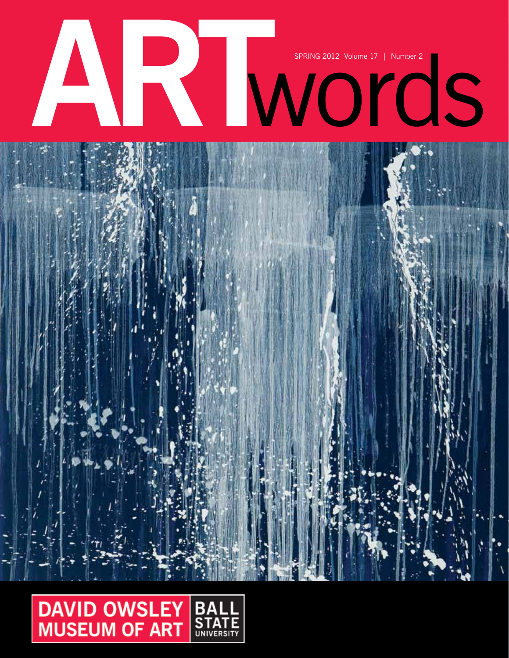



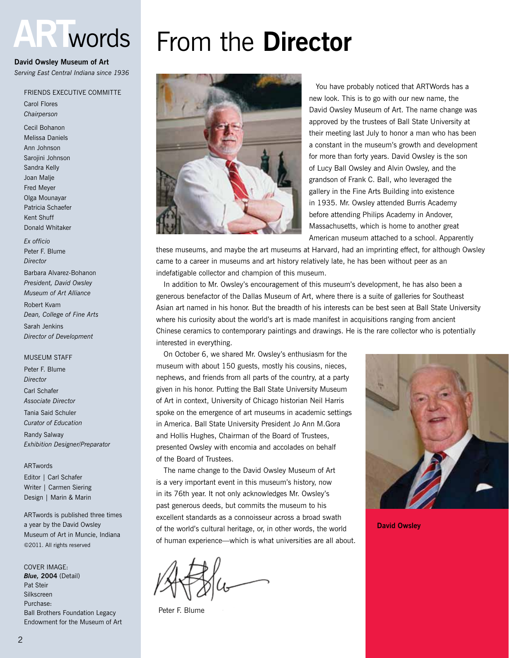# **ART**words

#### **David Owsley Museum of Art**

*Serving East Central Indiana since 1936*

#### Friends Executive Committe

Carol Flores *Chairperson*

Cecil Bohanon Melissa Daniels Ann Johnson Sarojini Johnson Sandra Kelly Joan Malje Fred Meyer Olga Mounayar Patricia Schaefer Kent Shuff Donald Whitaker

*Ex officio* Peter F. Blume *Director* Barbara Alvarez-Bohanon *President, David Owsley Museum of Art Alliance* Robert Kvam *Dean, College of Fine Arts* Sarah Jenkins *Director of Development*

#### **MUSEUM STAFF**

Peter F. Blume *Director* Carl Schafer *Associate Director* Tania Said Schuler *Curator of Education*

Randy Salway *Exhibition Designer/Preparator*

#### ARTwords

Editor | Carl Schafer Writer | Carmen Siering Design | Marin & Marin

ARTwords is published three times a year by the David Owsley Museum of Art in Muncie, Indiana ©2011. All rights reserved

COVER IMAGE: *Blue,* **2004** (Detail) Pat Steir Silkscreen Purchase: Ball Brothers Foundation Legacy Endowment for the Museum of Art

# From the **Director**



 You have probably noticed that ARTWords has a new look. This is to go with our new name, the David Owsley Museum of Art. The name change was approved by the trustees of Ball State University at their meeting last July to honor a man who has been a constant in the museum's growth and development for more than forty years. David Owsley is the son of Lucy Ball Owsley and Alvin Owsley, and the grandson of Frank C. Ball, who leveraged the gallery in the Fine Arts Building into existence in 1935. Mr. Owsley attended Burris Academy before attending Philips Academy in Andover, Massachusetts, which is home to another great American museum attached to a school. Apparently

these museums, and maybe the art museums at Harvard, had an imprinting effect, for although Owsley came to a career in museums and art history relatively late, he has been without peer as an indefatigable collector and champion of this museum.

 In addition to Mr. Owsley's encouragement of this museum's development, he has also been a generous benefactor of the Dallas Museum of Art, where there is a suite of galleries for Southeast Asian art named in his honor. But the breadth of his interests can be best seen at Ball State University where his curiosity about the world's art is made manifest in acquisitions ranging from ancient Chinese ceramics to contemporary paintings and drawings. He is the rare collector who is potentially interested in everything.

On October 6, we shared Mr. Owsley's enthusiasm for the museum with about 150 guests, mostly his cousins, nieces, nephews, and friends from all parts of the country, at a party given in his honor. Putting the Ball State University Museum of Art in context, University of Chicago historian Neil Harris spoke on the emergence of art museums in academic settings in America. Ball State University President Jo Ann M.Gora and Hollis Hughes, Chairman of the Board of Trustees, presented Owsley with encomia and accolades on behalf of the Board of Trustees.

The name change to the David Owsley Museum of Art is a very important event in this museum's history, now in its 76th year. It not only acknowledges Mr. Owsley's past generous deeds, but commits the museum to his excellent standards as a connoisseur across a broad swath of the world's cultural heritage, or, in other words, the world of human experience—which is what universities are all about.

Peter F. Blume



**David Owsley**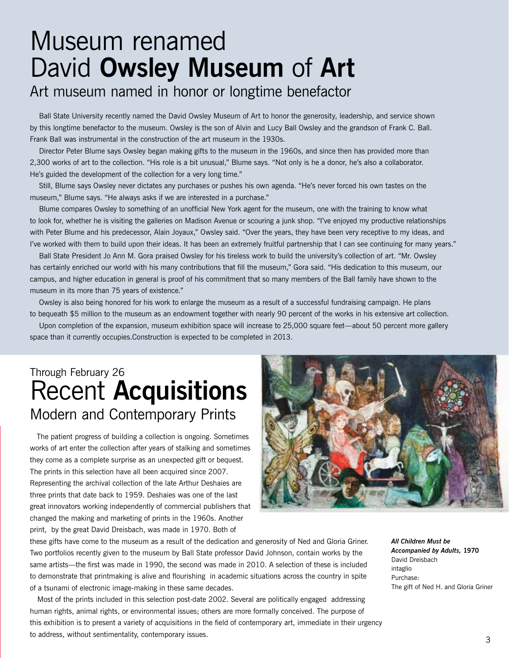# Museum renamed David **Owsley Museum** of **Art**

# Art museum named in honor or longtime benefactor

Ball State University recently named the David Owsley Museum of Art to honor the generosity, leadership, and service shown by this longtime benefactor to the museum. Owsley is the son of Alvin and Lucy Ball Owsley and the grandson of Frank C. Ball. Frank Ball was instrumental in the construction of the art museum in the 1930s.

Director Peter Blume says Owsley began making gifts to the museum in the 1960s, and since then has provided more than 2,300 works of art to the collection. "His role is a bit unusual," Blume says. "Not only is he a donor, he's also a collaborator. He's guided the development of the collection for a very long time."

Still, Blume says Owsley never dictates any purchases or pushes his own agenda. "He's never forced his own tastes on the museum," Blume says. "He always asks if we are interested in a purchase."

Blume compares Owsley to something of an unofficial New York agent for the museum, one with the training to know what to look for, whether he is visiting the galleries on Madison Avenue or scouring a junk shop. "I've enjoyed my productive relationships with Peter Blume and his predecessor, Alain Joyaux," Owsley said. "Over the years, they have been very receptive to my ideas, and I've worked with them to build upon their ideas. It has been an extremely fruitful partnership that I can see continuing for many years."

Ball State President Jo Ann M. Gora praised Owsley for his tireless work to build the university's collection of art. "Mr. Owsley has certainly enriched our world with his many contributions that fill the museum," Gora said. "His dedication to this museum, our campus, and higher education in general is proof of his commitment that so many members of the Ball family have shown to the museum in its more than 75 years of existence."

Owsley is also being honored for his work to enlarge the museum as a result of a successful fundraising campaign. He plans to bequeath \$5 million to the museum as an endowment together with nearly 90 percent of the works in his extensive art collection.

Upon completion of the expansion, museum exhibition space will increase to 25,000 square feet—about 50 percent more gallery space than it currently occupies.Construction is expected to be completed in 2013.

# Through February 26 Recent **Acquisitions** Modern and Contemporary Prints

 The patient progress of building a collection is ongoing. Sometimes works of art enter the collection after years of stalking and sometimes they come as a complete surprise as an unexpected gift or bequest. The prints in this selection have all been acquired since 2007. Representing the archival collection of the late Arthur Deshaies are three prints that date back to 1959. Deshaies was one of the last great innovators working independently of commercial publishers that changed the making and marketing of prints in the 1960s. Another print, by the great David Dreisbach, was made in 1970. Both of



these gifts have come to the museum as a result of the dedication and generosity of Ned and Gloria Griner. Two portfolios recently given to the museum by Ball State professor David Johnson, contain works by the same artists—the first was made in 1990, the second was made in 2010. A selection of these is included to demonstrate that printmaking is alive and flourishing in academic situations across the country in spite of a tsunami of electronic image-making in these same decades.

Most of the prints included in this selection post-date 2002. Several are politically engaged addressing human rights, animal rights, or environmental issues; others are more formally conceived. The purpose of this exhibition is to present a variety of acquisitions in the field of contemporary art, immediate in their urgency to address, without sentimentality, contemporary issues.

*All Children Must be Accompanied by Adults,* **1970** David Dreisbach intaglio Purchase: The gift of Ned H. and Gloria Griner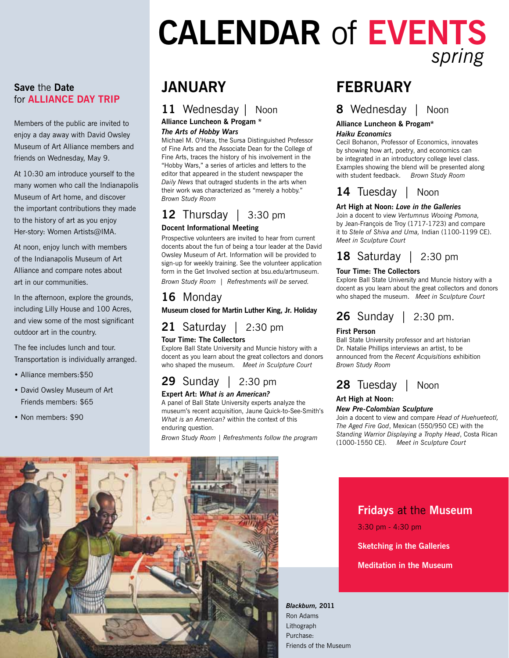# **Calendar** of **Events** *spring*

#### **Save** the **Date**  for **Alliance Day Trip**

Members of the public are invited to enjoy a day away with David Owsley Museum of Art Alliance members and friends on Wednesday, May 9.

At 10:30 am introduce yourself to the many women who call the Indianapolis Museum of Art home, and discover the important contributions they made to the history of art as you enjoy Her-story: Women Artists@IMA.

At noon, enjoy lunch with members of the Indianapolis Museum of Art Alliance and compare notes about art in our communities.

In the afternoon, explore the grounds, including Lilly House and 100 Acres, and view some of the most significant outdoor art in the country.

The fee includes lunch and tour. Transportation is individually arranged.

- Alliance members:\$50
- David Owsley Museum of Art Friends members: \$65
- Non members: \$90

# **january**

## **11** Wednesday | Noon

#### **Alliance Luncheon & Progam \***

#### *The Arts of Hobby Wars*

Michael M. O'Hara, the Sursa Distinguished Professor of Fine Arts and the Associate Dean for the College of Fine Arts, traces the history of his involvement in the "Hobby Wars," a series of articles and letters to the editor that appeared in the student newspaper the *Daily News* that outraged students in the arts when their work was characterized as "merely a hobby." *Brown Study Room*

# **12** Thursday | 3:30 pm

#### **Docent Informational Meeting**

Prospective volunteers are invited to hear from current docents about the fun of being a tour leader at the David Owsley Museum of Art. Information will be provided to sign-up for weekly training. See the volunteer application form in the Get Involved section at bsu.edu/artmuseum. *Brown Study Room | Refreshments will be served.*

# **16** Monday

**Museum closed for Martin Luther King, Jr. Holiday**

**21** Saturday | 2:30 pm

#### **Tour Time: The Collectors**

Explore Ball State University and Muncie history with a docent as you learn about the great collectors and donors who shaped the museum. *Meet in Sculpture Court*

# **29** Sunday | 2:30 pm

#### **Expert Art:** *What is an American?*

A panel of Ball State University experts analyze the museum's recent acquisition, Jaune Quick-to-See-Smith's *What is an American?* within the context of this enduring question.

*Brown Study Room | Refreshments follow the program*

# **february**

## **8** Wednesday | Noon

## **Alliance Luncheon & Progam\***

#### *Haiku Economics*

Cecil Bohanon, Professor of Economics, innovates by showing how art, poetry, and economics can be integrated in an introductory college level class. Examples showing the blend will be presented along with student feedback. *Brown Study Room*

## **14** Tuesday | Noon

#### **Art High at Noon:** *Love in the Galleries*

Join a docent to view *Vertumnus Wooing Pomona,* by Jean-François de Troy (1717-1723) and compare it to *Stele of Shiva and Uma,* Indian (1100-1199 CE). *Meet in Sculpture Court*

# **18** Saturday | 2:30 pm

#### **Tour Time: The Collectors**

Explore Ball State University and Muncie history with a docent as you learn about the great collectors and donors who shaped the museum. *Meet in Sculpture Court*

# **26** Sunday | 2:30 pm.

#### **First Person**

Ball State University professor and art historian Dr. Natalie Phillips interviews an artist, to be announced from the *Recent Acquisitions* exhibition *Brown Study Room*



#### **Art High at Noon:**

#### *New Pre-Colombian Sculpture*

Join a docent to view and compare *Head of Huehueteotl, The Aged Fire God*, Mexican (550/950 CE) with the *Standing Warrior Displaying a Trophy Head*, Costa Rican (1000-1550 CE). *Meet in Sculpture Court*



# **Fridays** at the **Museum**

3:30 pm - 4:30 pm

**Sketching in the Galleries**

#### **Meditation in the Museum**

*Blackburn,* **2011** Ron Adams Lithograph Purchase: Friends of the Museum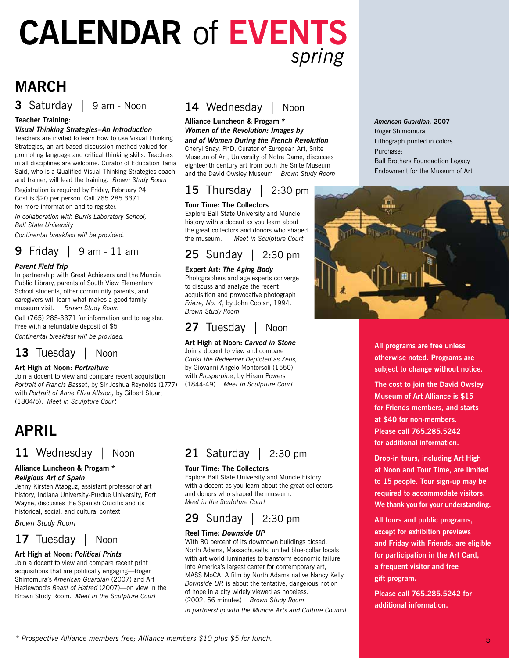# **Calendar** of **Events** *spring*

# **march**

**3** Saturday | 9 am - Noon

#### **Teacher Training:**

#### *Visual Thinking Strategies–An Introduction*

Teachers are invited to learn how to use Visual Thinking Strategies, an art-based discussion method valued for promoting language and critical thinking skills. Teachers in all disciplines are welcome. Curator of Education Tania Said, who is a Qualified Visual Thinking Strategies coach and trainer, will lead the training. *Brown Study Room*

Registration is required by Friday, February 24. Cost is \$20 per person. Call 765.285.3371 for more information and to register.

*In collaboration with Burris Laboratory School, Ball State University*

*Continental breakfast will be provided.*

# **9** Friday | 9 am - 11 am

#### *Parent Field Trip*

In partnership with Great Achievers and the Muncie Public Library, parents of South View Elementary School students, other community parents, and caregivers will learn what makes a good family museum visit. *Brown Study Room*

Call (765) 285-3371 for information and to register. Free with a refundable deposit of \$5

*Continental breakfast will be provided.*

## **13** Tuesday | Noon

#### **Art High at Noon:** *Portraiture*

Join a docent to view and compare recent acquisition *Portrait of Francis Basset*, by Sir Joshua Reynolds (1777) with *Portrait of Anne Eliza Allston,* by Gilbert Stuart (1804/5). *Meet in Sculpture Court*

# **april**

# **11** Wednesday | Noon

#### **Alliance Luncheon & Progam \***

*Religious Art of Spain*

Jenny Kirsten Ataoguz, assistant professor of art history, Indiana University-Purdue University, Fort Wayne, discusses the Spanish Crucifix and its historical, social, and cultural context

*Brown Study Room*

### **17** Tuesday | Noon

#### **Art High at Noon:** *Political Prints*

Join a docent to view and compare recent print acquisitions that are politically engaging—Roger Shimomura's *American Guardian* (2007) and Art Hazlewood's *Beast of Hatred* (2007)—on view in the Brown Study Room. *Meet in the Sculpture Court*

## 14 Wednesday | Noon

#### **Alliance Luncheon & Progam \*** *Women of the Revolution: Images by*

*and of Women During the French Revolution* Cheryl Snay, PhD, Curator of European Art, Snite Museum of Art, University of Notre Dame, discusses eighteenth century art from both the Snite Museum and the David Owsley Museum *Brown Study Room*

# **15** Thursday | 2:30 pm

#### **Tour Time: The Collectors**

Explore Ball State University and Muncie history with a docent as you learn about the great collectors and donors who shaped the museum. *Meet in Sculpture Court*

# **25** Sunday | 2:30 pm

#### **Expert Art:** *The Aging Body*

Photographers and age experts converge to discuss and analyze the recent acquisition and provocative photograph *Frieze, No. 4*, by John Coplan, 1994. *Brown Study Room* 

## **27** Tuesday | Noon

#### **Art High at Noon:** *Carved in Stone*

Join a docent to view and compare *Christ the Redeemer Depicted as Zeus,* by Giovanni Angelo Montorsoli (1550) with *Prosperpine*, by Hiram Powers (1844-49) *Meet in Sculpture Court* 

# **21** Saturday | 2:30 pm

#### **Tour Time: The Collectors**

Explore Ball State University and Muncie history with a docent as you learn about the great collectors and donors who shaped the museum. *Meet in the Sculpture Court*

# **29** Sunday | 2:30 pm

#### **Reel Time:** *Downside UP*

With 80 percent of its downtown buildings closed, North Adams, Massachusetts, united blue-collar locals with art world luminaries to transform economic failure into America's largest center for contemporary art, MASS MoCA. A film by North Adams native Nancy Kelly, *Downside UP,* is about the tentative, dangerous notion of hope in a city widely viewed as hopeless. (2002, 56 minutes) *Brown Study Room*

*In partnership with the Muncie Arts and Culture Council*

#### *American Guardian,* **2007**

Roger Shimomura Lithograph printed in colors Purchase: Ball Brothers Foundadtion Legacy Endowment for the Museum of Art



**All programs are free unless otherwise noted. Programs are subject to change without notice.**

**The cost to join the David Owsley Museum of Art Alliance is \$15 for Friends members, and starts at \$40 for non-members. Please call 765.285.5242 for additional information.**

**Drop-in tours, including Art High at Noon and Tour Time, are limited to 15 people. Tour sign-up may be required to accommodate visitors. We thank you for your understanding.**

**All tours and public programs, except for exhibition previews and Friday with Friends, are eligible for participation in the Art Card, a frequent visitor and free gift program.**

**Please call 765.285.5242 for additional information.**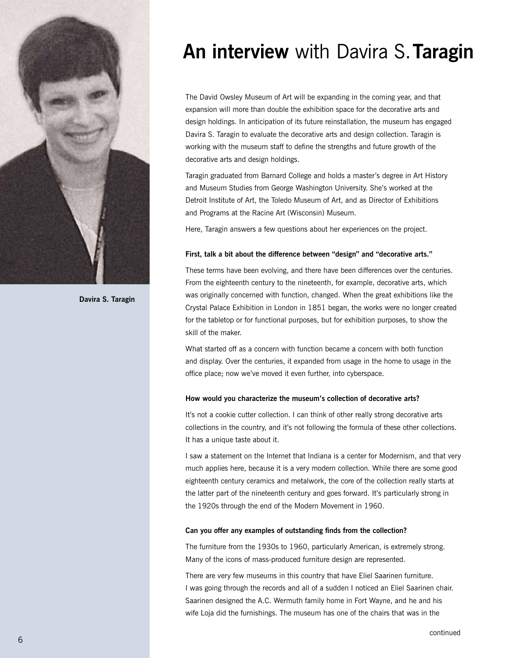

**Davira S. Taragin**

# **An interview** with Davira S. **Taragin**

The David Owsley Museum of Art will be expanding in the coming year, and that expansion will more than double the exhibition space for the decorative arts and design holdings. In anticipation of its future reinstallation, the museum has engaged Davira S. Taragin to evaluate the decorative arts and design collection. Taragin is working with the museum staff to define the strengths and future growth of the decorative arts and design holdings.

Taragin graduated from Barnard College and holds a master's degree in Art History and Museum Studies from George Washington University. She's worked at the Detroit Institute of Art, the Toledo Museum of Art, and as Director of Exhibitions and Programs at the Racine Art (Wisconsin) Museum.

Here, Taragin answers a few questions about her experiences on the project.

#### **First, talk a bit about the difference between "design" and "decorative arts."**

These terms have been evolving, and there have been differences over the centuries. From the eighteenth century to the nineteenth, for example, decorative arts, which was originally concerned with function, changed. When the great exhibitions like the Crystal Palace Exhibition in London in 1851 began, the works were no longer created for the tabletop or for functional purposes, but for exhibition purposes, to show the skill of the maker.

What started off as a concern with function became a concern with both function and display. Over the centuries, it expanded from usage in the home to usage in the office place; now we've moved it even further, into cyberspace.

#### **How would you characterize the museum's collection of decorative arts?**

It's not a cookie cutter collection. I can think of other really strong decorative arts collections in the country, and it's not following the formula of these other collections. It has a unique taste about it.

I saw a statement on the Internet that Indiana is a center for Modernism, and that very much applies here, because it is a very modern collection. While there are some good eighteenth century ceramics and metalwork, the core of the collection really starts at the latter part of the nineteenth century and goes forward. It's particularly strong in the 1920s through the end of the Modern Movement in 1960.

#### **Can you offer any examples of outstanding finds from the collection?**

The furniture from the 1930s to 1960, particularly American, is extremely strong. Many of the icons of mass-produced furniture design are represented.

There are very few museums in this country that have Eliel Saarinen furniture. I was going through the records and all of a sudden I noticed an Eliel Saarinen chair. Saarinen designed the A.C. Wermuth family home in Fort Wayne, and he and his wife Loja did the furnishings. The museum has one of the chairs that was in the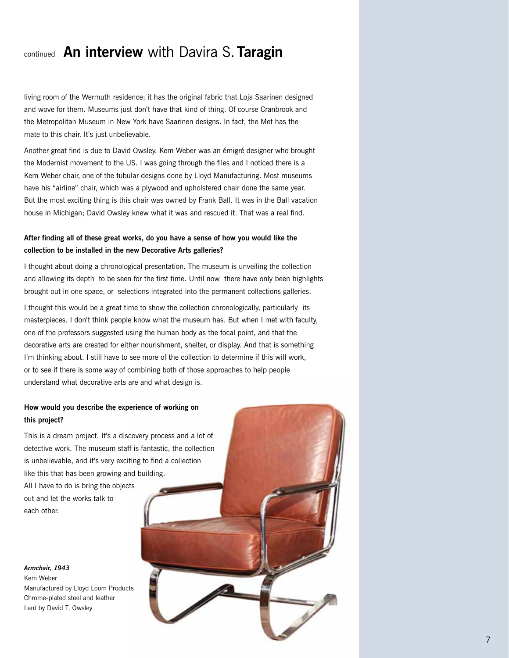# continued **An interview** with Davira S. **Taragin**

living room of the Wermuth residence; it has the original fabric that Loja Saarinen designed and wove for them. Museums just don't have that kind of thing. Of course Cranbrook and the Metropolitan Museum in New York have Saarinen designs. In fact, the Met has the mate to this chair. It's just unbelievable.

Another great find is due to David Owsley. Kem Weber was an émigré designer who brought the Modernist movement to the US. I was going through the files and I noticed there is a Kem Weber chair, one of the tubular designs done by Lloyd Manufacturing. Most museums have his "airline" chair, which was a plywood and upholstered chair done the same year. But the most exciting thing is this chair was owned by Frank Ball. It was in the Ball vacation house in Michigan; David Owsley knew what it was and rescued it. That was a real find.

#### **After finding all of these great works, do you have a sense of how you would like the collection to be installed in the new Decorative Arts galleries?**

I thought about doing a chronological presentation. The museum is unveiling the collection and allowing its depth to be seen for the first time. Until now there have only been highlights brought out in one space, or selections integrated into the permanent collections galleries.

I thought this would be a great time to show the collection chronologically, particularly its masterpieces. I don't think people know what the museum has. But when I met with faculty, one of the professors suggested using the human body as the focal point, and that the decorative arts are created for either nourishment, shelter, or display. And that is something I'm thinking about. I still have to see more of the collection to determine if this will work, or to see if there is some way of combining both of those approaches to help people understand what decorative arts are and what design is.

#### **How would you describe the experience of working on this project?**

This is a dream project. It's a discovery process and a lot of detective work. The museum staff is fantastic, the collection is unbelievable, and it's very exciting to find a collection like this that has been growing and building. All I have to do is bring the objects out and let the works talk to each other.

#### *Armchair, 1943* Kem Weber Manufactured by Lloyd Loom Products Chrome-plated steel and leather Lent by David T. Owsley